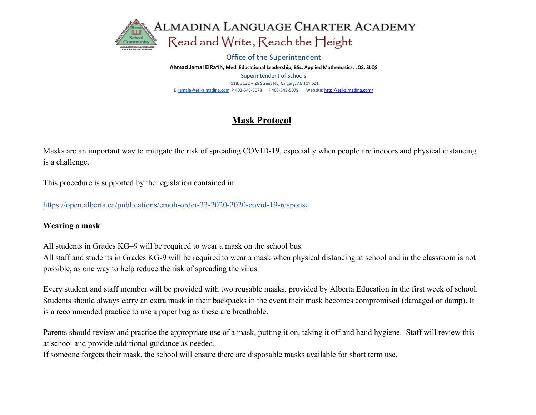

#### Office of the Superintendent

Ahmad Jamal ElRafih, Med. Educational Leadership, BSc. Applied Mathematics, LQS, SLQS Superintendent of Schools #118, 3132 – 26 Street NE, Calgary, AB T1Y 6Z1 E jamale@esl-almadina.com P 403-543-5078 F 403-543-5079 Website: http://esl-almadina.com/

# Mask Protocol

Masks are an important way to mitigate the risk of spreading COVID-19, especially when people are indoors and physical distancing is a challenge.

This procedure is supported by the legislation contained in:

https://open.alberta.ca/publications/cmoh-order-33-2020-2020-covid-19-response

## Wearing a mask:

All students in Grades KG–9 will be required to wear a mask on the school bus.

All staff and students in Grades KG-9 will be required to wear a mask when physical distancing at school and in the classroom is not possible, as one way to help reduce the risk of spreading the virus.

Every student and staff member will be provided with two reusable masks, provided by Alberta Education in the first week of school. Students should always carry an extra mask in their backpacks in the event their mask becomes compromised (damaged or damp). It is a recommended practice to use a paper bag as these are breathable.

Parents should review and practice the appropriate use of a mask, putting it on, taking it off and hand hygiene. Staff will review this at school and provide additional guidance as needed.

If someone forgets their mask, the school will ensure there are disposable masks available for short term use.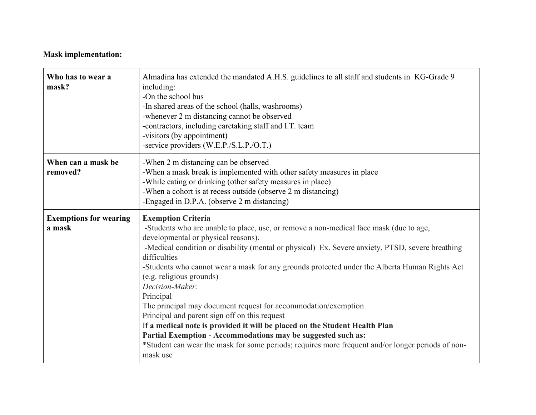## Mask implementation:

| Who has to wear a<br>mask?              | Almadina has extended the mandated A.H.S. guidelines to all staff and students in KG-Grade 9<br>including:<br>-On the school bus<br>-In shared areas of the school (halls, washrooms)<br>-whenever 2 m distancing cannot be observed<br>-contractors, including caretaking staff and I.T. team<br>-visitors (by appointment)<br>-service providers (W.E.P./S.L.P./O.T.)                                                                                                                                                                                                                                                                                                                                                                                                                                                       |
|-----------------------------------------|-------------------------------------------------------------------------------------------------------------------------------------------------------------------------------------------------------------------------------------------------------------------------------------------------------------------------------------------------------------------------------------------------------------------------------------------------------------------------------------------------------------------------------------------------------------------------------------------------------------------------------------------------------------------------------------------------------------------------------------------------------------------------------------------------------------------------------|
| When can a mask be<br>removed?          | -When 2 m distancing can be observed<br>-When a mask break is implemented with other safety measures in place<br>-While eating or drinking (other safety measures in place)<br>-When a cohort is at recess outside (observe 2 m distancing)<br>-Engaged in D.P.A. (observe 2 m distancing)                                                                                                                                                                                                                                                                                                                                                                                                                                                                                                                                    |
| <b>Exemptions for wearing</b><br>a mask | <b>Exemption Criteria</b><br>-Students who are unable to place, use, or remove a non-medical face mask (due to age,<br>developmental or physical reasons).<br>-Medical condition or disability (mental or physical) Ex. Severe anxiety, PTSD, severe breathing<br>difficulties<br>-Students who cannot wear a mask for any grounds protected under the Alberta Human Rights Act<br>(e.g. religious grounds)<br>Decision-Maker:<br>Principal<br>The principal may document request for accommodation/exemption<br>Principal and parent sign off on this request<br>If a medical note is provided it will be placed on the Student Health Plan<br>Partial Exemption - Accommodations may be suggested such as:<br>*Student can wear the mask for some periods; requires more frequent and/or longer periods of non-<br>mask use |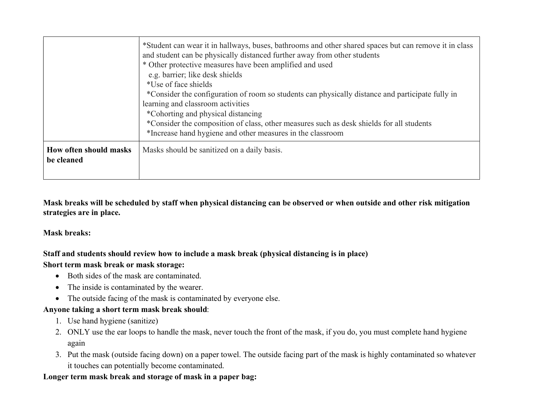|                                      | *Student can wear it in hallways, buses, bathrooms and other shared spaces but can remove it in class<br>and student can be physically distanced further away from other students<br>* Other protective measures have been amplified and used<br>e.g. barrier; like desk shields<br>*Use of face shields<br>*Consider the configuration of room so students can physically distance and participate fully in<br>learning and classroom activities<br>*Cohorting and physical distancing<br>*Consider the composition of class, other measures such as desk shields for all students<br>*Increase hand hygiene and other measures in the classroom |
|--------------------------------------|---------------------------------------------------------------------------------------------------------------------------------------------------------------------------------------------------------------------------------------------------------------------------------------------------------------------------------------------------------------------------------------------------------------------------------------------------------------------------------------------------------------------------------------------------------------------------------------------------------------------------------------------------|
| How often should masks<br>be cleaned | Masks should be sanitized on a daily basis.                                                                                                                                                                                                                                                                                                                                                                                                                                                                                                                                                                                                       |

Mask breaks will be scheduled by staff when physical distancing can be observed or when outside and other risk mitigation strategies are in place.

## Mask breaks:

## Staff and students should review how to include a mask break (physical distancing is in place)

#### Short term mask break or mask storage:

- Both sides of the mask are contaminated.
- The inside is contaminated by the wearer.
- The outside facing of the mask is contaminated by everyone else.

## Anyone taking a short term mask break should:

- 1. Use hand hygiene (sanitize)
- 2. ONLY use the ear loops to handle the mask, never touch the front of the mask, if you do, you must complete hand hygiene again
- 3. Put the mask (outside facing down) on a paper towel. The outside facing part of the mask is highly contaminated so whatever it touches can potentially become contaminated.

## Longer term mask break and storage of mask in a paper bag: